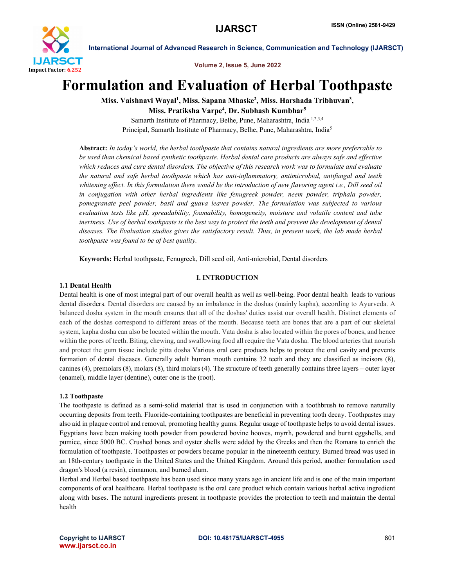

Volume 2, Issue 5, June 2022

# Formulation and Evaluation of Herbal Toothpaste

Miss. Vaishnavi Wayal<sup>1</sup>, Miss. Sapana Mhaske<sup>2</sup>, Miss. Harshada Tribhuvan<sup>3</sup>, Miss. Pratiksha Varpe<sup>4</sup>, Dr. Subhash Kumbhar<sup>5</sup>

Samarth Institute of Pharmacy, Belhe, Pune, Maharashtra, India 1,2,3,4 Principal, Samarth Institute of Pharmacy, Belhe, Pune, Maharashtra, India5

Abstract: *In today's world, the herbal toothpaste that contains natural ingredients are more preferrable to be used than chemical based synthetic toothpaste. Herbal dental care products are always safe and effective which reduces and cure dental disorders. The objective of this research work was to formulate and evaluate the natural and safe herbal toothpaste which has anti-inflammatory, antimicrobial, antifungal and teeth whitening effect. In this formulation there would be the introduction of new flavoring agent i.e., Dill seed oil in conjugation with other herbal ingredients like fenugreek powder, neem powder, triphala powder, pomegranate peel powder, basil and guava leaves powder. The formulation was subjected to various evaluation tests like pH, spreadability, foamability, homogeneity, moisture and volatile content and tube inertness. Use of herbal toothpaste is the best way to protect the teeth and prevent the development of dental diseases. The Evaluation studies gives the satisfactory result. Thus, in present work, the lab made herbal toothpaste was found to be of best quality.*

Keywords: Herbal toothpaste, Fenugreek, Dill seed oil, Anti-microbial, Dental disorders

# I. INTRODUCTION

#### 1.1 Dental Health

Dental health is one of most integral part of our overall health as well as well-being. Poor dental health leads to various dental disorders. Dental disorders are caused by an imbalance in the doshas (mainly kapha), according to Ayurveda. A balanced dosha system in the mouth ensures that all of the doshas' duties assist our overall health. Distinct elements of each of the doshas correspond to different areas of the mouth. Because teeth are bones that are a part of our skeletal system, kapha dosha can also be located within the mouth. Vata dosha is also located within the pores of bones, and hence within the pores of teeth. Biting, chewing, and swallowing food all require the Vata dosha. The blood arteries that nourish and protect the gum tissue include pitta dosha Various oral care products helps to protect the oral cavity and prevents formation of dental diseases. Generally adult human mouth contains 32 teeth and they are classified as incisors (8), canines (4), premolars (8), molars (8), third molars (4). The structure of teeth generally contains three layers – outer layer (enamel), middle layer (dentine), outer one is the (root).

#### 1.2 Toothpaste

The toothpaste is defined as a semi-solid material that is used in conjunction with a toothbrush to remove naturally occurring deposits from teeth. Fluoride-containing toothpastes are beneficial in preventing tooth decay. Toothpastes may also aid in plaque control and removal, promoting healthy gums. Regular usage of toothpaste helps to avoid dental issues. Egyptians have been making tooth powder from powdered bovine hooves, myrrh, powdered and burnt eggshells, and pumice, since 5000 BC. Crushed bones and oyster shells were added by the Greeks and then the Romans to enrich the formulation of toothpaste. Toothpastes or powders became popular in the nineteenth century. Burned bread was used in an 18th-century toothpaste in the United States and the United Kingdom. Around this period, another formulation used dragon's blood (a resin), cinnamon, and burned alum.

Herbal and Herbal based toothpaste has been used since many years ago in ancient life and is one of the main important components of oral healthcare. Herbal toothpaste is the oral care product which contain various herbal active ingredient along with bases. The natural ingredients present in toothpaste provides the protection to teeth and maintain the dental health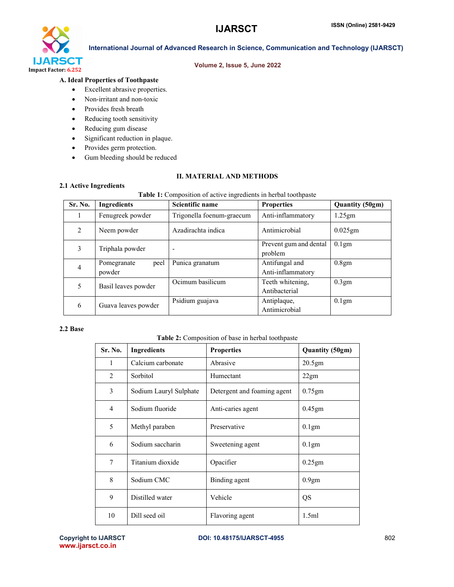

# Volume 2, Issue 5, June 2022

# A. Ideal Properties of Toothpaste

- Excellent abrasive properties.
- Non-irritant and non-toxic
- Provides fresh breath
- Reducing tooth sensitivity
- Reducing gum disease
- Significant reduction in plaque.
- Provides germ protection.
- Gum bleeding should be reduced

### II. MATERIAL AND METHODS

#### 2.1 Active Ingredients

#### Table 1: Composition of active ingredients in herbal toothpaste

| Sr. No.        | Ingredients         | Scientific name           | <b>Properties</b>                 | <b>Quantity (50gm)</b> |  |  |
|----------------|---------------------|---------------------------|-----------------------------------|------------------------|--|--|
|                | Fenugreek powder    | Trigonella foenum-graecum | Anti-inflammatory                 | 1.25gm                 |  |  |
| 2              | Neem powder         | Azadirachta indica        | Antimicrobial                     | $0.025$ gm             |  |  |
| 3              | Triphala powder     |                           | Prevent gum and dental<br>problem | $0.1$ gm               |  |  |
| $\overline{4}$ | peel<br>Pomegranate | Punica granatum           | Antifungal and                    | 0.8gm                  |  |  |
|                | powder              |                           | Anti-inflammatory                 |                        |  |  |
| 5              |                     | Ocimum basilicum          | Teeth whitening,                  | 0.3gm                  |  |  |
|                | Basil leaves powder |                           | Antibacterial                     |                        |  |  |
| 6              |                     | Psidium guajava           | Antiplaque,                       | $0.1$ gm               |  |  |
|                | Guava leaves powder |                           | Antimicrobial                     |                        |  |  |

#### 2.2 Base

# Table 2: Composition of base in herbal toothpaste

| Sr. No.        | <b>Ingredients</b>     | <b>Properties</b>           | Quantity (50gm)   |
|----------------|------------------------|-----------------------------|-------------------|
| 1              | Calcium carbonate      | Abrasive                    | 20.5gm            |
| 2              | Sorbitol               | Humectant                   | 22gm              |
| 3              | Sodium Lauryl Sulphate | Detergent and foaming agent | $0.75$ gm         |
| $\overline{4}$ | Sodium fluoride        | Anti-caries agent           | 0.45gm            |
| 5              | Methyl paraben         | Preservative                | 0.1 <sub>gm</sub> |
| 6              | Sodium saccharin       | Sweetening agent            | $0.1$ gm          |
| 7              | Titanium dioxide       | Opacifier                   | $0.25$ gm         |
| 8              | Sodium CMC             | Binding agent               | 0.9 <sub>gm</sub> |
| 9              | Distilled water        | Vehicle                     | QS                |
| 10             | Dill seed oil          | Flavoring agent             | 1.5ml             |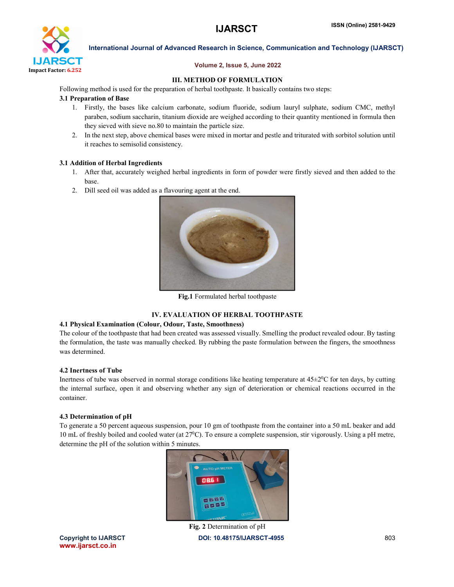

# Volume 2, Issue 5, June 2022

# III. METHOD OF FORMULATION

Following method is used for the preparation of herbal toothpaste. It basically contains two steps:

# 3.1 Preparation of Base

- 1. Firstly, the bases like calcium carbonate, sodium fluoride, sodium lauryl sulphate, sodium CMC, methyl paraben, sodium saccharin, titanium dioxide are weighed according to their quantity mentioned in formula then they sieved with sieve no.80 to maintain the particle size.
- 2. In the next step, above chemical bases were mixed in mortar and pestle and triturated with sorbitol solution until it reaches to semisolid consistency.

# 3.1 Addition of Herbal Ingredients

- 1. After that, accurately weighed herbal ingredients in form of powder were firstly sieved and then added to the base.
- 2. Dill seed oil was added as a flavouring agent at the end.



Fig.1 Formulated herbal toothpaste

# IV. EVALUATION OF HERBAL TOOTHPASTE

#### 4.1 Physical Examination (Colour, Odour, Taste, Smoothness)

The colour of the toothpaste that had been created was assessed visually. Smelling the product revealed odour. By tasting the formulation, the taste was manually checked. By rubbing the paste formulation between the fingers, the smoothness was determined.

# 4.2 Inertness of Tube

Inertness of tube was observed in normal storage conditions like heating temperature at  $45\pm2\degree C$  for ten days, by cutting the internal surface, open it and observing whether any sign of deterioration or chemical reactions occurred in the container.

#### 4.3 Determination of pH

To generate a 50 percent aqueous suspension, pour 10 gm of toothpaste from the container into a 50 mL beaker and add 10 mL of freshly boiled and cooled water (at  $27^{\circ}$ C). To ensure a complete suspension, stir vigorously. Using a pH metre, determine the pH of the solution within 5 minutes.



Copyright to IJARSCT DOI: 10.48175/IJARSCT-4955 803 Fig. 2 Determination of pH

www.ijarsct.co.in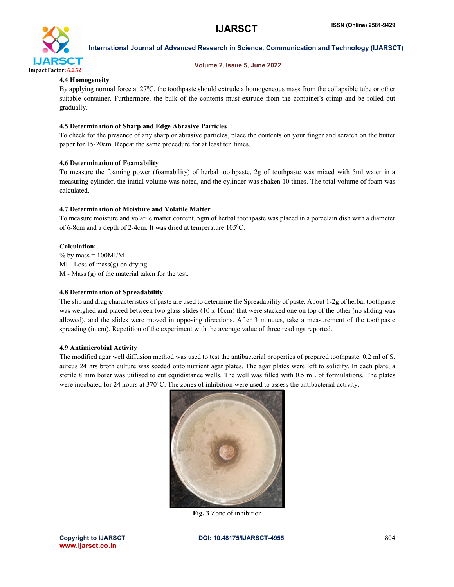

### Volume 2, Issue 5, June 2022

# 4.4 Homogeneity

By applying normal force at  $27^{\circ}$ C, the toothpaste should extrude a homogeneous mass from the collapsible tube or other suitable container. Furthermore, the bulk of the contents must extrude from the container's crimp and be rolled out gradually.

# 4.5 Determination of Sharp and Edge Abrasive Particles

To check for the presence of any sharp or abrasive particles, place the contents on your finger and scratch on the butter paper for 15-20cm. Repeat the same procedure for at least ten times.

#### 4.6 Determination of Foamability

To measure the foaming power (foamability) of herbal toothpaste, 2g of toothpaste was mixed with 5ml water in a measuring cylinder, the initial volume was noted, and the cylinder was shaken 10 times. The total volume of foam was calculated.

#### 4.7 Determination of Moisture and Volatile Matter

To measure moisture and volatile matter content, 5gm of herbal toothpaste was placed in a porcelain dish with a diameter of 6-8cm and a depth of 2-4cm. It was dried at temperature 1050C.

#### Calculation:

 $%$  by mass = 100MI/M MI - Loss of mass(g) on drying. M - Mass (g) of the material taken for the test.

# 4.8 Determination of Spreadability

The slip and drag characteristics of paste are used to determine the Spreadability of paste. About 1-2g of herbal toothpaste was weighed and placed between two glass slides (10 x 10cm) that were stacked one on top of the other (no sliding was allowed), and the slides were moved in opposing directions. After 3 minutes, take a measurement of the toothpaste spreading (in cm). Repetition of the experiment with the average value of three readings reported.

#### 4.9 Antimicrobial Activity

The modified agar well diffusion method was used to test the antibacterial properties of prepared toothpaste. 0.2 ml of S. aureus 24 hrs broth culture was seeded onto nutrient agar plates. The agar plates were left to solidify. In each plate, a sterile 8 mm borer was utilised to cut equidistance wells. The well was filled with 0.5 mL of formulations. The plates were incubated for 24 hours at 370°C. The zones of inhibition were used to assess the antibacterial activity.



Fig. 3 Zone of inhibition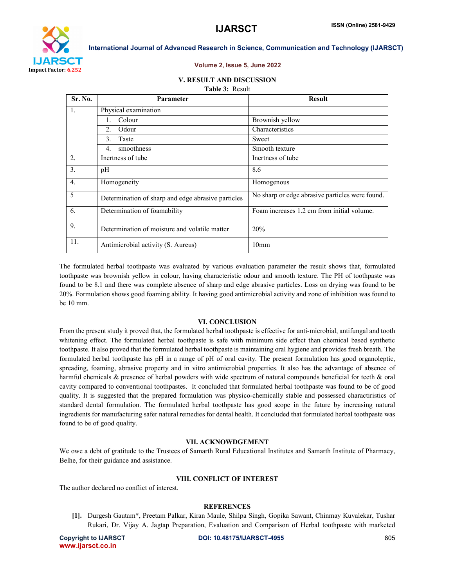

#### Volume 2, Issue 5, June 2022

#### V. RESULT AND DISCUSSION

#### Table 3: Result

| <b>Sr. No.</b>   | <b>Parameter</b>                                   | <b>Result</b>                                   |
|------------------|----------------------------------------------------|-------------------------------------------------|
| 1.               | Physical examination                               |                                                 |
|                  | Colour                                             | Brownish yellow                                 |
|                  | $2^{\circ}$<br>Odour                               | Characteristics                                 |
|                  | Taste<br>$\mathcal{E}$                             | Sweet                                           |
|                  | smoothness<br>4.                                   | Smooth texture                                  |
| $\overline{2}$ . | Inertness of tube                                  | Inertness of tube                               |
| 3.               | pH                                                 | 8.6                                             |
| $\overline{4}$ . | Homogeneity                                        | Homogenous                                      |
| 5                | Determination of sharp and edge abrasive particles | No sharp or edge abrasive particles were found. |
| 6.               | Determination of foamability                       | Foam increases 1.2 cm from initial volume.      |
| 9.               | Determination of moisture and volatile matter      | 20%                                             |
| 11.              | Antimicrobial activity (S. Aureus)                 | 10 <sub>mm</sub>                                |

The formulated herbal toothpaste was evaluated by various evaluation parameter the result shows that, formulated toothpaste was brownish yellow in colour, having characteristic odour and smooth texture. The PH of toothpaste was found to be 8.1 and there was complete absence of sharp and edge abrasive particles. Loss on drying was found to be 20%. Formulation shows good foaming ability. It having good antimicrobial activity and zone of inhibition was found to be 10 mm.

#### VI. CONCLUSION

From the present study it proved that, the formulated herbal toothpaste is effective for anti-microbial, antifungal and tooth whitening effect. The formulated herbal toothpaste is safe with minimum side effect than chemical based synthetic toothpaste. It also proved that the formulated herbal toothpaste is maintaining oral hygiene and provides fresh breath. The formulated herbal toothpaste has pH in a range of pH of oral cavity. The present formulation has good organoleptic, spreading, foaming, abrasive property and in vitro antimicrobial properties. It also has the advantage of absence of harmful chemicals & presence of herbal powders with wide spectrum of natural compounds beneficial for teeth & oral cavity compared to conventional toothpastes. It concluded that formulated herbal toothpaste was found to be of good quality. It is suggested that the prepared formulation was physico-chemically stable and possessed charactiristics of standard dental formulation. The formulated herbal toothpaste has good scope in the future by increasing natural ingredients for manufacturing safer natural remedies for dental health. It concluded that formulated herbal toothpaste was found to be of good quality.

#### VII. ACKNOWDGEMENT

We owe a debt of gratitude to the Trustees of Samarth Rural Educational Institutes and Samarth Institute of Pharmacy, Belhe, for their guidance and assistance.

#### VIII. CONFLICT OF INTEREST

The author declared no conflict of interest.

#### **REFERENCES**

[1]. Durgesh Gautam\*, Preetam Palkar, Kiran Maule, Shilpa Singh, Gopika Sawant, Chinmay Kuvalekar, Tushar Rukari, Dr. Vijay A. Jagtap Preparation, Evaluation and Comparison of Herbal toothpaste with marketed

www.ijarsct.co.in

Copyright to IJARSCT **DOI: 10.48175/IJARSCT-4955** 805